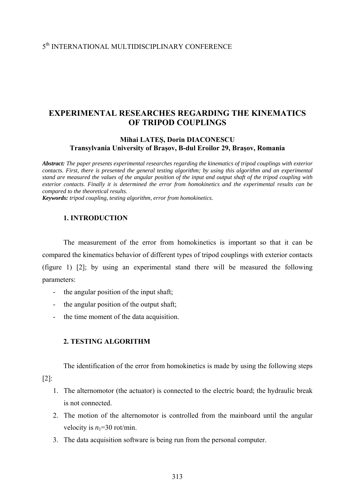# 5th INTERNATIONAL MULTIDISCIPLINARY CONFERENCE

# **EXPERIMENTAL RESEARCHES REGARDING THE KINEMATICS OF TRIPOD COUPLINGS**

#### **Mihai LATEŞ, Dorin DIACONESCU Transylvania University of Braşov, B-dul Eroilor 29, Braşov, Romania**

*Abstract: The paper presents experimental researches regarding the kinematics of tripod couplings with exterior contacts. First, there is presented the general testing algorithm; by using this algorithm and an experimental stand are measured the values of the angular position of the input and output shaft of the tripod coupling with exterior contacts. Finally it is determined the error from homokinetics and the experimental results can be compared to the theoretical results.* 

*Keywords: tripod coupling, testing algorithm, error from homokinetics.* 

#### **1. INTRODUCTION**

The measurement of the error from homokinetics is important so that it can be compared the kinematics behavior of different types of tripod couplings with exterior contacts (figure 1) [2]; by using an experimental stand there will be measured the following parameters:

- the angular position of the input shaft;
- the angular position of the output shaft;
- the time moment of the data acquisition.

### **2. TESTING ALGORITHM**

The identification of the error from homokinetics is made by using the following steps

[2]:

- 1. The alternomotor (the actuator) is connected to the electric board; the hydraulic break is not connected.
- 2. The motion of the alternomotor is controlled from the mainboard until the angular velocity is  $n_1$ =30 rot/min.
- 3. The data acquisition software is being run from the personal computer.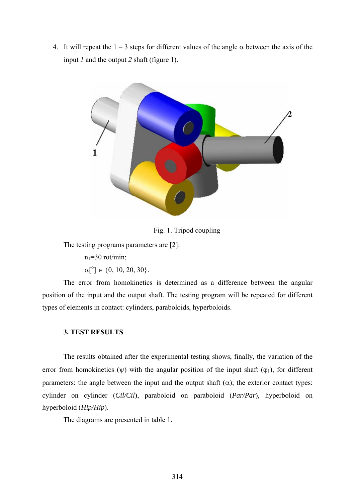4. It will repeat the  $1 - 3$  steps for different values of the angle  $\alpha$  between the axis of the input *1* and the output *2* shaft (figure 1).



Fig. 1. Tripod coupling

The testing programs parameters are [2]:

 $n_1=30$  rot/min;

 $\alpha[^{\circ}] \in \{0, 10, 20, 30\}.$ 

 The error from homokinetics is determined as a difference between the angular position of the input and the output shaft. The testing program will be repeated for different types of elements in contact: cylinders, paraboloids, hyperboloids.

#### **3. TEST RESULTS**

 The results obtained after the experimental testing shows, finally, the variation of the error from homokinetics ( $\psi$ ) with the angular position of the input shaft ( $\varphi$ <sub>1</sub>), for different parameters: the angle between the input and the output shaft  $(\alpha)$ ; the exterior contact types: cylinder on cylinder (*Cil/Cil*), paraboloid on paraboloid (*Par/Par*), hyperboloid on hyperboloid (*Hip/Hip*).

The diagrams are presented in table 1.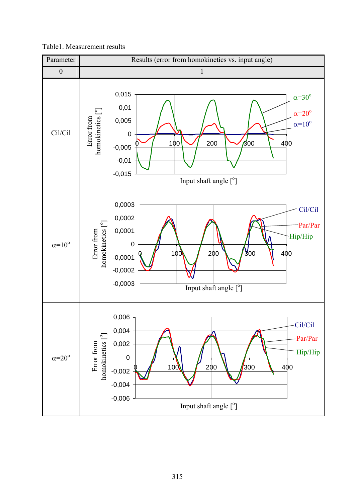

Table1. Measurement results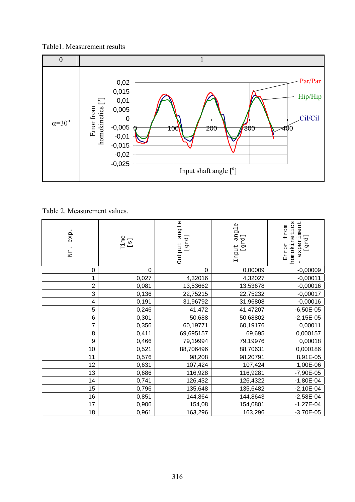### Table1. Measurement results



Table 2. Measurement values.

| exp.<br>Nr. | $\begin{array}{c}\n\text{Time} \\ \text{[s]}\\ \end{array}$ | angle<br>[grd]<br>Output | angle<br>[grd]<br>Input | homokinetics<br>experiment<br>from<br>[grad]<br><b>Error</b> |
|-------------|-------------------------------------------------------------|--------------------------|-------------------------|--------------------------------------------------------------|
| 0           | 0                                                           | 0                        | 0,00009                 | $-0,00009$                                                   |
| 1           | 0,027                                                       | 4,32016                  | 4,32027                 | $-0,00011$                                                   |
| 2           | 0,081                                                       | 13,53662                 | 13,53678                | $-0,00016$                                                   |
| 3           | 0,136                                                       | 22,75215                 | 22,75232                | $-0,00017$                                                   |
| 4           | 0,191                                                       | 31,96792                 | 31,96808                | $-0,00016$                                                   |
| 5           | 0,246                                                       | 41,472                   | 41,47207                | $-6,50E-05$                                                  |
| 6           | 0,301                                                       | 50,688                   | 50,68802                | $-2,15E-05$                                                  |
| 7           | 0,356                                                       | 60,19771                 | 60,19176                | 0,00011                                                      |
| 8           | 0,411                                                       | 69,695157                | 69,695                  | 0,000157                                                     |
| 9           | 0,466                                                       | 79,19994                 | 79,19976                | 0,00018                                                      |
| 10          | 0,521                                                       | 88,706496                | 88,70631                | 0,000186                                                     |
| 11          | 0,576                                                       | 98,208                   | 98,20791                | 8,91E-05                                                     |
| 12          | 0,631                                                       | 107,424                  | 107,424                 | 1,00E-06                                                     |
| 13          | 0,686                                                       | 116,928                  | 116,9281                | $-7,90E-05$                                                  |
| 14          | 0,741                                                       | 126,432                  | 126,4322                | $-1,80E-04$                                                  |
| 15          | 0,796                                                       | 135,648                  | 135,6482                | $-2,10E-04$                                                  |
| 16          | 0,851                                                       | 144,864                  | 144,8643                | $-2,58E-04$                                                  |
| 17          | 0,906                                                       | 154,08                   | 154,0801                | $-1,27E-04$                                                  |
| 18          | 0,961                                                       | 163,296                  | 163,296                 | $-3,70E-05$                                                  |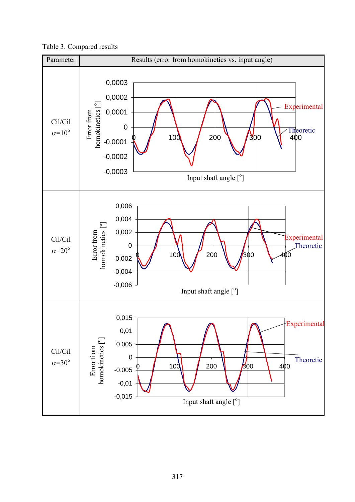